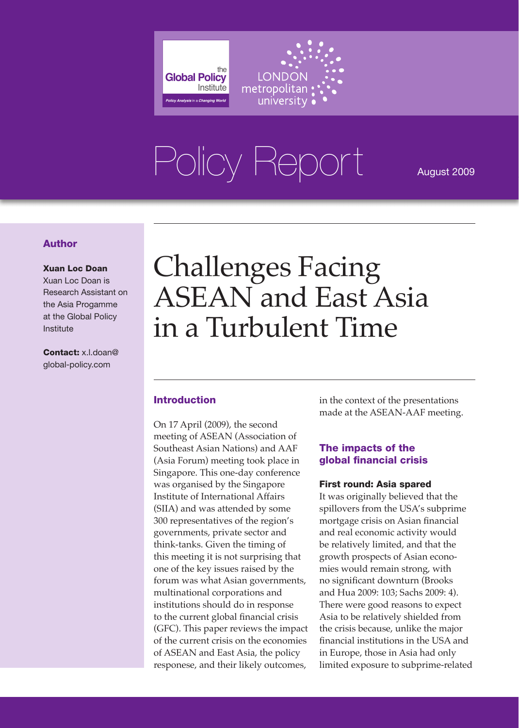

# Policy Report August 2009

#### Author

#### Xuan Loc Doan

Xuan Loc Doan is Research Assistant on the Asia Progamme at the Global Policy Institute

Contact: x.l.doan@ global-policy.com

### Challenges Facing ASEAN and East Asia in a Turbulent Time

#### Introduction

On 17 April (2009), the second meeting of ASEAN (Association of Southeast Asian Nations) and AAF (Asia Forum) meeting took place in Singapore. This one-day conference was organised by the Singapore Institute of International Affairs (SIIA) and was attended by some 300 representatives of the region's governments, private sector and think-tanks. Given the timing of this meeting it is not surprising that one of the key issues raised by the forum was what Asian governments, multinational corporations and institutions should do in response to the current global financial crisis (GFC). This paper reviews the impact of the current crisis on the economies of ASEAN and East Asia, the policy responese, and their likely outcomes,

in the context of the presentations made at the ASEAN-AAF meeting.

#### The impacts of the global financial crisis

#### First round: Asia spared

It was originally believed that the spillovers from the USA's subprime mortgage crisis on Asian financial and real economic activity would be relatively limited, and that the growth prospects of Asian economies would remain strong, with no significant downturn (Brooks and Hua 2009: 103; Sachs 2009: 4). There were good reasons to expect Asia to be relatively shielded from the crisis because, unlike the major financial institutions in the USA and in Europe, those in Asia had only limited exposure to subprime-related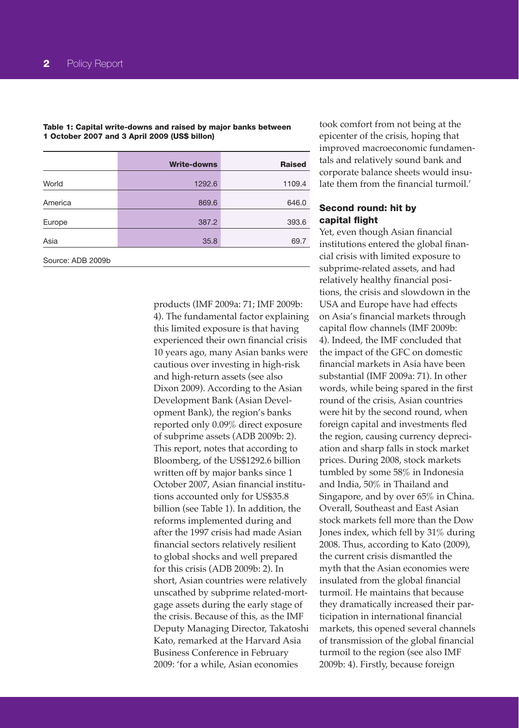|                   | <b>Write-downs</b> | <b>Raised</b> |
|-------------------|--------------------|---------------|
|                   |                    |               |
| World             | 1292.6             | 1109.4        |
| America           | 869.6              | 646.0         |
| Europe            | 387.2              | 393.6         |
| Asia              | 35.8               | 69.7          |
| Source: ADB 2009b |                    |               |

Table 1: Capital write-downs and raised by major banks between 1 October 2007 and 3 April 2009 (US\$ billon)

> products (IMF 2009a: 71; IMF 2009b: 4). The fundamental factor explaining this limited exposure is that having experienced their own financial crisis 10 years ago, many Asian banks were cautious over investing in high-risk and high-return assets (see also Dixon 2009). According to the Asian Development Bank (Asian Development Bank), the region's banks reported only 0.09% direct exposure of subprime assets (ADB 2009b: 2). This report, notes that according to Bloomberg, of the US\$1292.6 billion written off by major banks since 1 October 2007, Asian financial institutions accounted only for US\$35.8 billion (see Table 1). In addition, the reforms implemented during and after the 1997 crisis had made Asian financial sectors relatively resilient to global shocks and well prepared for this crisis (ADB 2009b: 2). In short, Asian countries were relatively unscathed by subprime related-mortgage assets during the early stage of the crisis. Because of this, as the IMF Deputy Managing Director, Takatoshi Kato, remarked at the Harvard Asia Business Conference in February 2009: 'for a while, Asian economies

took comfort from not being at the epicenter of the crisis, hoping that improved macroeconomic fundamentals and relatively sound bank and corporate balance sheets would insulate them from the financial turmoil.'

#### Second round: hit by capital flight

Yet, even though Asian financial institutions entered the global financial crisis with limited exposure to subprime-related assets, and had relatively healthy financial positions, the crisis and slowdown in the USA and Europe have had effects on Asia's financial markets through capital flow channels (IMF 2009b: 4). Indeed, the IMF concluded that the impact of the GFC on domestic financial markets in Asia have been substantial (IMF 2009a: 71). In other words, while being spared in the first round of the crisis, Asian countries were hit by the second round, when foreign capital and investments fled the region, causing currency depreciation and sharp falls in stock market prices. During 2008, stock markets tumbled by some 58% in Indonesia and India, 50% in Thailand and Singapore, and by over 65% in China. Overall, Southeast and East Asian stock markets fell more than the Dow Jones index, which fell by 31% during 2008. Thus, according to Kato (2009), the current crisis dismantled the myth that the Asian economies were insulated from the global financial turmoil. He maintains that because they dramatically increased their participation in international financial markets, this opened several channels of transmission of the global financial turmoil to the region (see also IMF 2009b: 4). Firstly, because foreign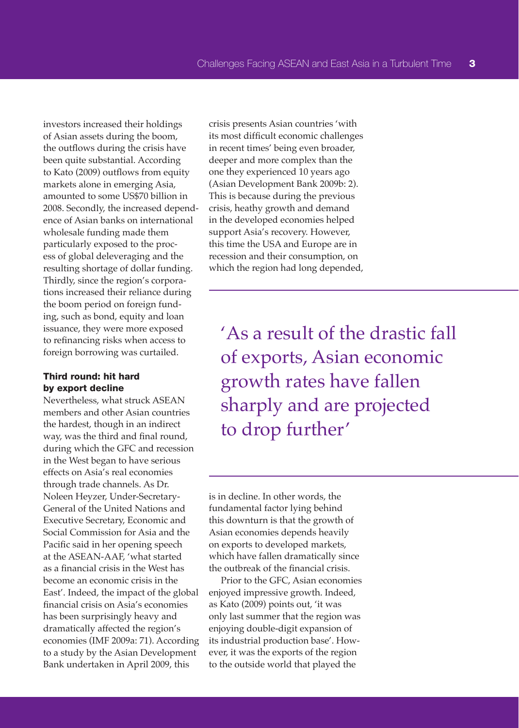investors increased their holdings of Asian assets during the boom, the outflows during the crisis have been quite substantial. According to Kato (2009) outflows from equity markets alone in emerging Asia, amounted to some US\$70 billion in 2008. Secondly, the increased dependence of Asian banks on international wholesale funding made them particularly exposed to the process of global deleveraging and the resulting shortage of dollar funding. Thirdly, since the region's corporations increased their reliance during the boom period on foreign funding, such as bond, equity and loan issuance, they were more exposed to refinancing risks when access to foreign borrowing was curtailed.

#### Third round: hit hard by export decline

Nevertheless, what struck ASEAN members and other Asian countries the hardest, though in an indirect way, was the third and final round, during which the GFC and recession in the West began to have serious effects on Asia's real economies through trade channels. As Dr. Noleen Heyzer, Under-Secretary-General of the United Nations and Executive Secretary, Economic and Social Commission for Asia and the Pacific said in her opening speech at the ASEAN-AAF, 'what started as a financial crisis in the West has become an economic crisis in the East'. Indeed, the impact of the global financial crisis on Asia's economies has been surprisingly heavy and dramatically affected the region's economies (IMF 2009a: 71). According to a study by the Asian Development Bank undertaken in April 2009, this

crisis presents Asian countries 'with its most difficult economic challenges in recent times' being even broader, deeper and more complex than the one they experienced 10 years ago (Asian Development Bank 2009b: 2). This is because during the previous crisis, heathy growth and demand in the developed economies helped support Asia's recovery. However, this time the USA and Europe are in recession and their consumption, on which the region had long depended,

'As a result of the drastic fall of exports, Asian economic growth rates have fallen sharply and are projected to drop further'

is in decline. In other words, the fundamental factor lying behind this downturn is that the growth of Asian economies depends heavily on exports to developed markets, which have fallen dramatically since the outbreak of the financial crisis.

Prior to the GFC, Asian economies enjoyed impressive growth. Indeed, as Kato (2009) points out, 'it was only last summer that the region was enjoying double-digit expansion of its industrial production base'. However, it was the exports of the region to the outside world that played the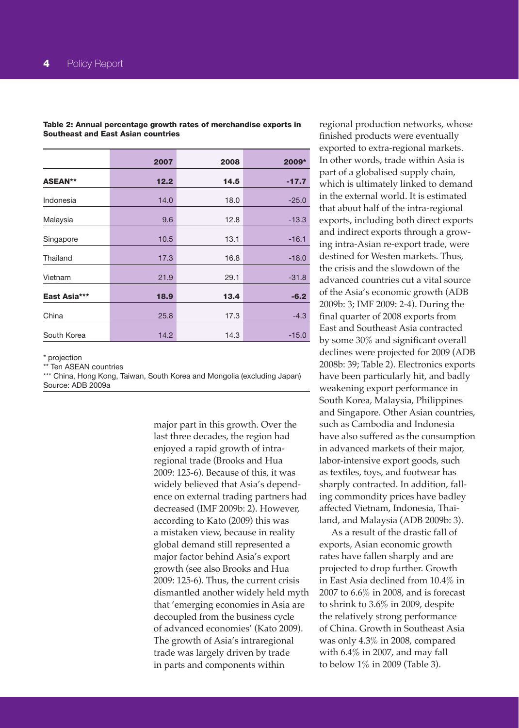|                | 2007 | 2008 | 2009*   |
|----------------|------|------|---------|
| <b>ASEAN**</b> | 12.2 | 14.5 | $-17.7$ |
|                |      |      |         |
| Indonesia      | 14.0 | 18.0 | $-25.0$ |
| Malaysia       | 9.6  | 12.8 | $-13.3$ |
| Singapore      | 10.5 | 13.1 | $-16.1$ |
| Thailand       | 17.3 | 16.8 | $-18.0$ |
| Vietnam        | 21.9 | 29.1 | $-31.8$ |
| East Asia***   | 18.9 | 13.4 | $-6.2$  |
| China          | 25.8 | 17.3 | $-4.3$  |
| South Korea    | 14.2 | 14.3 | $-15.0$ |

Table 2: Annual percentage growth rates of merchandise exports in Southeast and East Asian countries

\* projection

\*\* Ten ASEAN countries

\*\*\* China, Hong Kong, Taiwan, South Korea and Mongolia (excluding Japan) Source: ADB 2009a

> major part in this growth. Over the last three decades, the region had enjoyed a rapid growth of intraregional trade (Brooks and Hua 2009: 125-6). Because of this, it was widely believed that Asia's dependence on external trading partners had decreased (IMF 2009b: 2). However, according to Kato (2009) this was a mistaken view, because in reality global demand still represented a major factor behind Asia's export growth (see also Brooks and Hua 2009: 125-6). Thus, the current crisis dismantled another widely held myth that 'emerging economies in Asia are decoupled from the business cycle of advanced economies' (Kato 2009). The growth of Asia's intraregional trade was largely driven by trade in parts and components within

regional production networks, whose finished products were eventually exported to extra-regional markets. In other words, trade within Asia is part of a globalised supply chain, which is ultimately linked to demand in the external world. It is estimated that about half of the intra-regional exports, including both direct exports and indirect exports through a growing intra-Asian re-export trade, were destined for Westen markets. Thus, the crisis and the slowdown of the advanced countries cut a vital source of the Asia's economic growth (ADB 2009b: 3; IMF 2009: 2-4). During the final quarter of 2008 exports from East and Southeast Asia contracted by some 30% and significant overall declines were projected for 2009 (ADB 2008b: 39; Table 2). Electronics exports have been particularly hit, and badly weakening export performance in South Korea, Malaysia, Philippines and Singapore. Other Asian countries, such as Cambodia and Indonesia have also suffered as the consumption in advanced markets of their major, labor-intensive export goods, such as textiles, toys, and footwear has sharply contracted. In addition, falling commondity prices have badley affected Vietnam, Indonesia, Thailand, and Malaysia (ADB 2009b: 3).

As a result of the drastic fall of exports, Asian economic growth rates have fallen sharply and are projected to drop further. Growth in East Asia declined from 10.4% in 2007 to 6.6% in 2008, and is forecast to shrink to 3.6% in 2009, despite the relatively strong performance of China. Growth in Southeast Asia was only 4.3% in 2008, compared with 6.4% in 2007, and may fall to below 1% in 2009 (Table 3).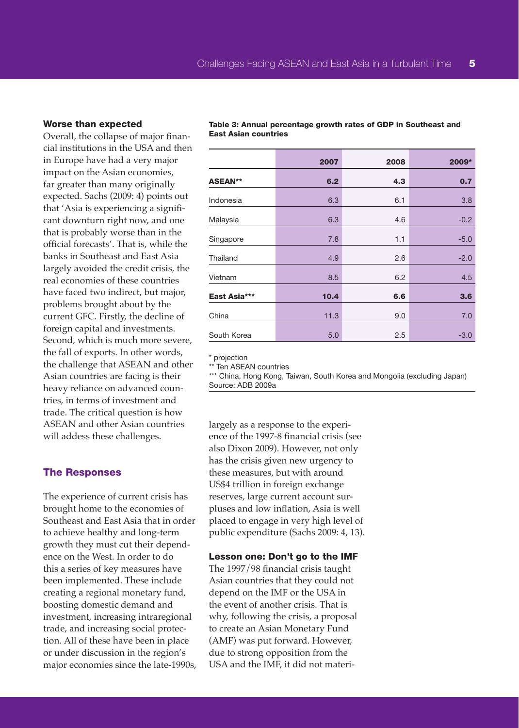#### Worse than expected

Overall, the collapse of major financial institutions in the USA and then in Europe have had a very major impact on the Asian economies, far greater than many originally expected. Sachs (2009: 4) points out that 'Asia is experiencing a significant downturn right now, and one that is probably worse than in the official forecasts'. That is, while the banks in Southeast and East Asia largely avoided the credit crisis, the real economies of these countries have faced two indirect, but major, problems brought about by the current GFC. Firstly, the decline of foreign capital and investments. Second, which is much more severe, the fall of exports. In other words, the challenge that ASEAN and other Asian countries are facing is their heavy reliance on advanced countries, in terms of investment and trade. The critical question is how ASEAN and other Asian countries will addess these challenges.

#### The Responses

The experience of current crisis has brought home to the economies of Southeast and East Asia that in order to achieve healthy and long-term growth they must cut their dependence on the West. In order to do this a series of key measures have been implemented. These include creating a regional monetary fund, boosting domestic demand and investment, increasing intraregional trade, and increasing social protection. All of these have been in place or under discussion in the region's major economies since the late-1990s,

2007 2008 2009\* ASEAN\*\* 6.2 4.3 0.7 Indonesia 6.3 6.1 3.8 Malaysia 6.3 4.6 -0.2 Singapore 7.8 7.8 1.1 -5.0 Thailand **4.9** 2.6 -2.0 Vietnam 8.5 6.2 4.5 East Asia\*\*\* 10.4 6.6 3.6 China 11.3 9.0 7.0 South Korea **5.0** 2.5 -3.0

Table 3: Annual percentage growth rates of GDP in Southeast and East Asian countries

\* projection

\*\* Ten ASEAN countries

\*\*\* China, Hong Kong, Taiwan, South Korea and Mongolia (excluding Japan) Source: ADB 2009a

largely as a response to the experience of the 1997-8 financial crisis (see also Dixon 2009). However, not only has the crisis given new urgency to these measures, but with around US\$4 trillion in foreign exchange reserves, large current account surpluses and low inflation, Asia is well placed to engage in very high level of public expenditure (Sachs 2009: 4, 13).

#### Lesson one: Don't go to the IMF

The 1997/98 financial crisis taught Asian countries that they could not depend on the IMF or the USA in the event of another crisis. That is why, following the crisis, a proposal to create an Asian Monetary Fund (AMF) was put forward. However, due to strong opposition from the USA and the IMF, it did not materi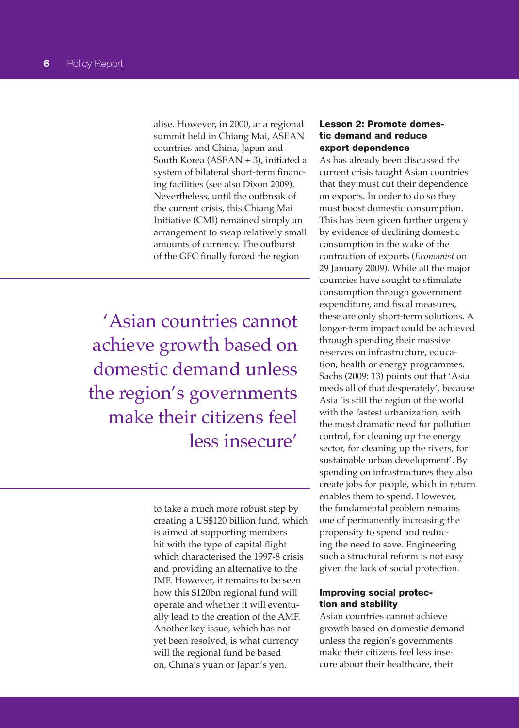alise. However, in 2000, at a regional summit held in Chiang Mai, ASEAN countries and China, Japan and South Korea (ASEAN + 3), initiated a system of bilateral short-term financing facilities (see also Dixon 2009). Nevertheless, until the outbreak of the current crisis, this Chiang Mai Initiative (CMI) remained simply an arrangement to swap relatively small amounts of currency. The outburst of the GFC finally forced the region

'Asian countries cannot achieve growth based on domestic demand unless the region's governments make their citizens feel less insecure'

> to take a much more robust step by creating a US\$120 billion fund, which is aimed at supporting members hit with the type of capital flight which characterised the 1997-8 crisis and providing an alternative to the IMF. However, it remains to be seen how this \$120bn regional fund will operate and whether it will eventually lead to the creation of the AMF. Another key issue, which has not yet been resolved, is what currency will the regional fund be based on, China's yuan or Japan's yen.

#### Lesson 2: Promote domestic demand and reduce export dependence

As has already been discussed the current crisis taught Asian countries that they must cut their dependence on exports. In order to do so they must boost domestic consumption. This has been given further urgency by evidence of declining domestic consumption in the wake of the contraction of exports (*Economist* on 29 January 2009). While all the major countries have sought to stimulate consumption through government expenditure, and fiscal measures, these are only short-term solutions. A longer-term impact could be achieved through spending their massive reserves on infrastructure, education, health or energy programmes. Sachs (2009: 13) points out that 'Asia needs all of that desperately', because Asia 'is still the region of the world with the fastest urbanization, with the most dramatic need for pollution control, for cleaning up the energy sector, for cleaning up the rivers, for sustainable urban development'. By spending on infrastructures they also create jobs for people, which in return enables them to spend. However, the fundamental problem remains one of permanently increasing the propensity to spend and reducing the need to save. Engineering such a structural reform is not easy given the lack of social protection.

#### Improving social protection and stability

Asian countries cannot achieve growth based on domestic demand unless the region's governments make their citizens feel less insecure about their healthcare, their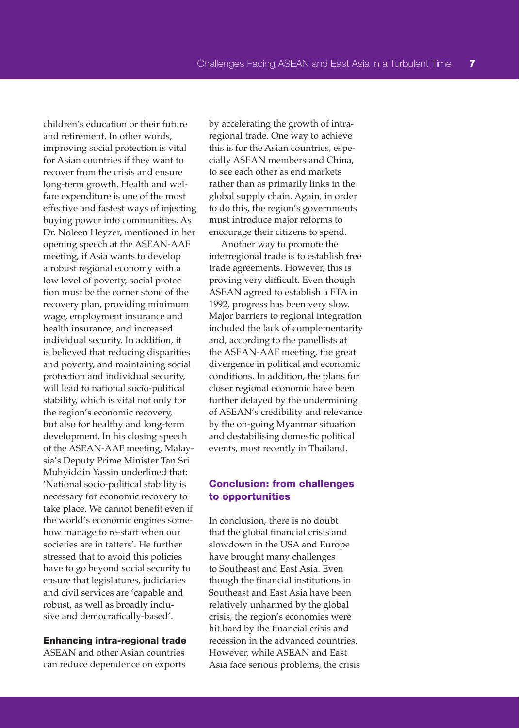children's education or their future and retirement. In other words, improving social protection is vital for Asian countries if they want to recover from the crisis and ensure long-term growth. Health and welfare expenditure is one of the most effective and fastest ways of injecting buying power into communities. As Dr. Noleen Heyzer, mentioned in her opening speech at the ASEAN-AAF meeting, if Asia wants to develop a robust regional economy with a low level of poverty, social protection must be the corner stone of the recovery plan, providing minimum wage, employment insurance and health insurance, and increased individual security. In addition, it is believed that reducing disparities and poverty, and maintaining social protection and individual security, will lead to national socio-political stability, which is vital not only for the region's economic recovery, but also for healthy and long-term development. In his closing speech of the ASEAN-AAF meeting, Malaysia's Deputy Prime Minister Tan Sri Muhyiddin Yassin underlined that: 'National socio-political stability is necessary for economic recovery to take place. We cannot benefit even if the world's economic engines somehow manage to re-start when our societies are in tatters'. He further stressed that to avoid this policies have to go beyond social security to ensure that legislatures, judiciaries and civil services are 'capable and robust, as well as broadly inclusive and democratically-based'.

#### Enhancing intra-regional trade

ASEAN and other Asian countries can reduce dependence on exports by accelerating the growth of intraregional trade. One way to achieve this is for the Asian countries, especially ASEAN members and China, to see each other as end markets rather than as primarily links in the global supply chain. Again, in order to do this, the region's governments must introduce major reforms to encourage their citizens to spend.

Another way to promote the interregional trade is to establish free trade agreements. However, this is proving very difficult. Even though ASEAN agreed to establish a FTA in 1992, progress has been very slow. Major barriers to regional integration included the lack of complementarity and, according to the panellists at the ASEAN-AAF meeting, the great divergence in political and economic conditions. In addition, the plans for closer regional economic have been further delayed by the undermining of ASEAN's credibility and relevance by the on-going Myanmar situation and destabilising domestic political events, most recently in Thailand.

#### Conclusion: from challenges to opportunities

In conclusion, there is no doubt that the global financial crisis and slowdown in the USA and Europe have brought many challenges to Southeast and East Asia. Even though the financial institutions in Southeast and East Asia have been relatively unharmed by the global crisis, the region's economies were hit hard by the financial crisis and recession in the advanced countries. However, while ASEAN and East Asia face serious problems, the crisis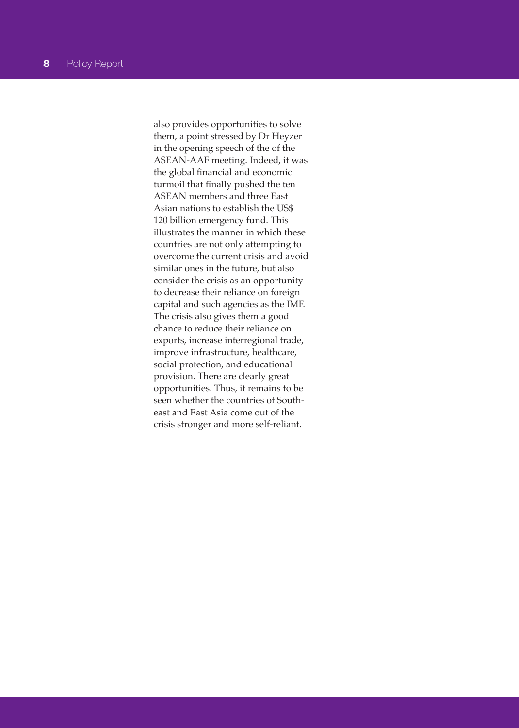also provides opportunities to solve them, a point stressed by Dr Heyzer in the opening speech of the of the ASEAN-AAF meeting. Indeed, it was the global financial and economic turmoil that finally pushed the ten ASEAN members and three East Asian nations to establish the US\$ 120 billion emergency fund. This illustrates the manner in which these countries are not only attempting to overcome the current crisis and avoid similar ones in the future, but also consider the crisis as an opportunity to decrease their reliance on foreign capital and such agencies as the IMF. The crisis also gives them a good chance to reduce their reliance on exports, increase interregional trade, improve infrastructure, healthcare, social protection, and educational provision. There are clearly great opportunities. Thus, it remains to be seen whether the countries of Southeast and East Asia come out of the crisis stronger and more self-reliant.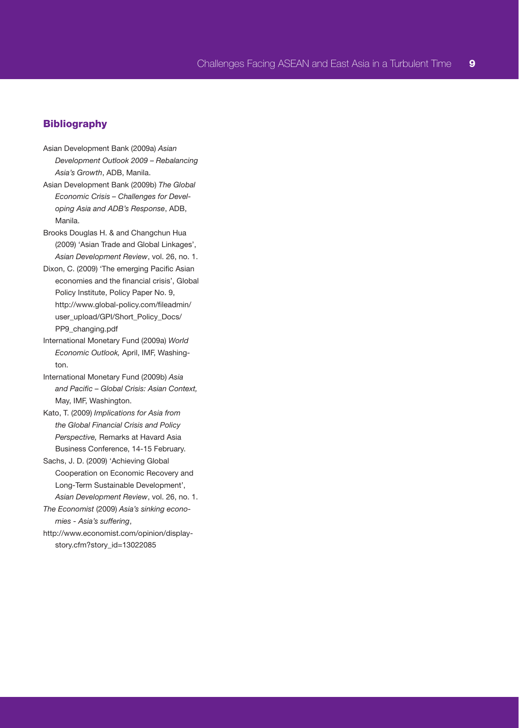#### **Bibliography**

- Asian Development Bank (2009a) *Asian Development Outlook 2009 – Rebalancing Asia's Growth*, ADB, Manila.
- Asian Development Bank (2009b) *The Global Economic Crisis – Challenges for Developing Asia and ADB's Response*, ADB, Manila.
- Brooks Douglas H. & and Changchun Hua (2009) 'Asian Trade and Global Linkages', *Asian Development Review*, vol. 26, no. 1.
- Dixon, C. (2009) 'The emerging Pacific Asian economies and the financial crisis', Global Policy Institute, Policy Paper No. 9, http://www.global-policy.com/fileadmin/ user\_upload/GPI/Short\_Policy\_Docs/ PP9\_changing.pdf
- International Monetary Fund (2009a) *World Economic Outlook,* April, IMF, Washington.
- International Monetary Fund (2009b) *Asia and Pacific – Global Crisis: Asian Context,*  May, IMF, Washington.
- Kato, T. (2009) *Implications for Asia from the Global Financial Crisis and Policy Perspective,* Remarks at Havard Asia Business Conference, 14-15 February.
- Sachs, J. D. (2009) 'Achieving Global Cooperation on Economic Recovery and Long-Term Sustainable Development', *Asian Development Review*, vol. 26, no. 1.
- *The Economist* (2009) *Asia's sinking economies - Asia's suffering*,
- http://www.economist.com/opinion/displaystory.cfm?story\_id=13022085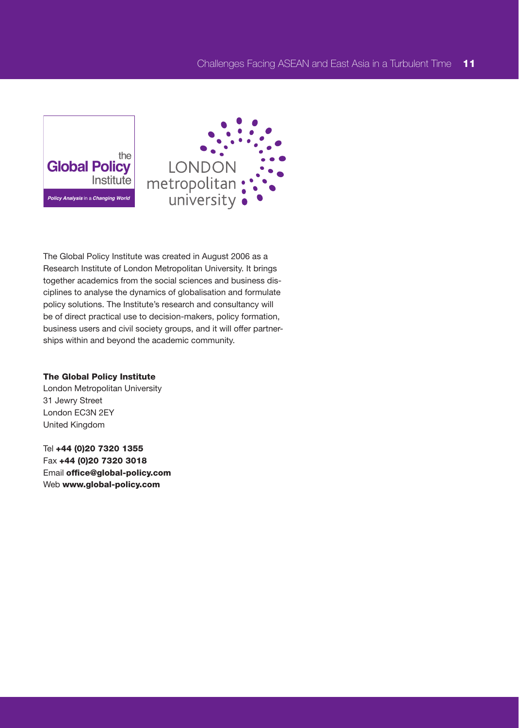



The Global Policy Institute was created in August 2006 as a Research Institute of London Metropolitan University. It brings together academics from the social sciences and business disciplines to analyse the dynamics of globalisation and formulate policy solutions. The Institute's research and consultancy will be of direct practical use to decision-makers, policy formation, business users and civil society groups, and it will offer partnerships within and beyond the academic community.

#### The Global Policy Institute

London Metropolitan University 31 Jewry Street London EC3N 2EY United Kingdom

Tel +44 (0)20 7320 1355 Fax +44 (0)20 7320 3018 Email office@global-policy.com Web www.global-policy.com